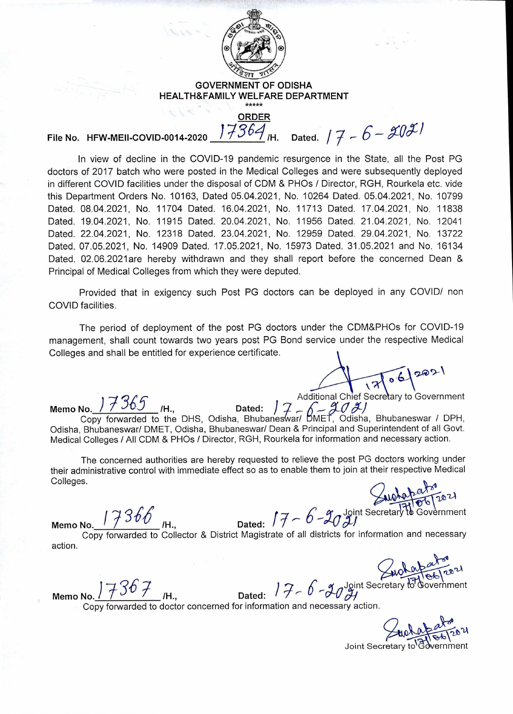

## **GOVERNMENT OF ODISHA HEALTH&FAMILY WELFARE DEPARTMENT**

**ORDER**   $17364$ <sub>IH.</sub> Dated.  $17 - 6 - 2021$ 

**File No. HFW-MEII-COVID-0014-2020** 

**In** view of decline in the COVID-19 pandemic resurgence in the State, all the Post PG doctors of 2017 batch who were posted in the Medical Colleges and were subsequently deployed in different COVID facilities under the disposal of CDM & PHOs / Director, RGH, Rourkela etc. vide this Department Orders No. 10163, Dated 05.04.2021, No. 10264 Dated. 05.04.2021, No. 10799 Dated. 08.04.2021, No. 11704 Dated. 16.04.2021, No. 11713 Dated. 17.04.2021, No. 11838 Dated. 19.04.2021, No. 11915 Dated. 20.04.2021, No. 11956 Dated. 21.04.2021, No. 12041 Dated. 22.04.2021, No. 12318 Dated. 23.04.2021, No. 12959 Dated. 29.04.2021, No. 13722 Dated. 07.05.2021, No. 14909 Dated. 17.05.2021, No. 15973 Dated. 31.05.2021 and No. 16134 Dated. 02.06.2021are hereby withdrawn and they shall report before the concerned Dean & Principal of Medical Colleges from which they were deputed.

Provided that in exigency such Post PG doctors can be deployed in any COVID/ non COVID facilities.

The period of deployment of the post PG doctors under the CDM&PHOs for COVID-19 management, shall count towards two years post PG Bond service under the respective Medical Colleges and shall be entitled for experience certificate.

06

Additional Chief Secretary to Government<br>Memo No. 17365 <sub>I</sub>H., Dated: 17 - 6 - 2021

Copy forwarded to the DHS, Odisha, Bhubaneswar/ DMET, Odisha, Bhubaneswar / DPH, Odisha, Bhubaneswar/ DMET, Odisha, Bhubaneswar/ Dean & Principal and Superintendent of all Govt. Medical Colleges / All CDM & PHOs / Director, RGH, Rourkela for information and necessary action.  $\left(\begin{matrix} a & b \\ c & d \end{matrix}\right)$ 

The concerned authorities are hereby requested to relieve the post PG doctors working under their administrative control with immediate effect so as to enable them to join at their respective Medical Colleges. The concerned authorities are neteby requested to relieve the post in Sciences working ander<br>
Colleges.<br>
Colleges.<br>
Memo No. 17366<br>
Memo No. 17366<br>
Memo No. 27<br>
Dated:  $77 - 6 - 202$ <br>
Dated:  $77 - 6 - 202$ 

 $20$   $\mathcal{U}$ 

Copy forwarded to Collector & District Magistrate of all districts for information and necessary action.

g<br>
g Joint Secretary to Government

**Memo No.**  $77367$   $\mu$ 

Copy forwarded to doctor concerned for information and necessary action.

Joint Secretary to Avernment